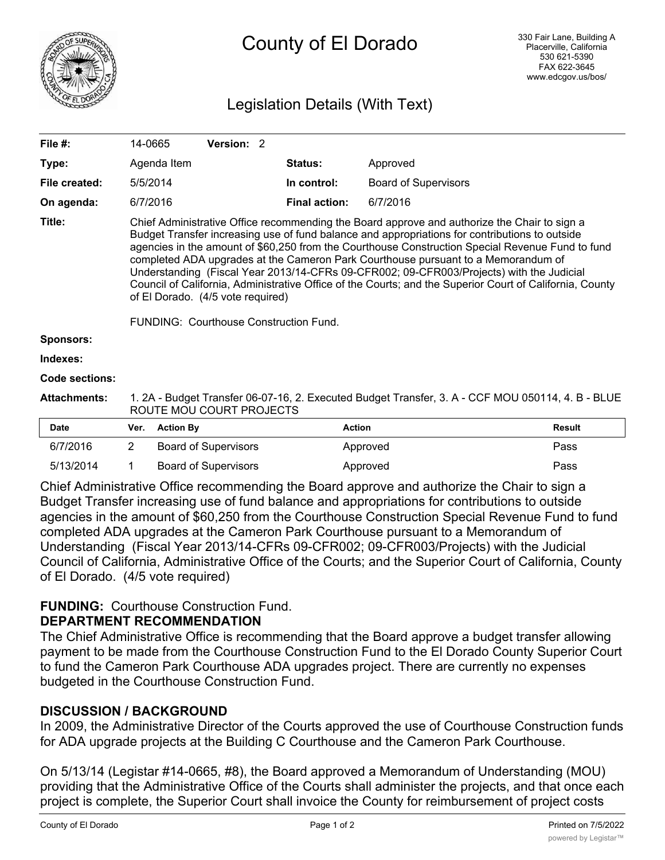

# Legislation Details (With Text)

| File #:               | 14-0665                                                                                                                                                                                                                                                                                                                                                                                                                                                                                                                                                                                                                                                                        |                  | Version: 2                  |  |                      |                             |               |  |
|-----------------------|--------------------------------------------------------------------------------------------------------------------------------------------------------------------------------------------------------------------------------------------------------------------------------------------------------------------------------------------------------------------------------------------------------------------------------------------------------------------------------------------------------------------------------------------------------------------------------------------------------------------------------------------------------------------------------|------------------|-----------------------------|--|----------------------|-----------------------------|---------------|--|
| Type:                 |                                                                                                                                                                                                                                                                                                                                                                                                                                                                                                                                                                                                                                                                                | Agenda Item      |                             |  | Status:              | Approved                    |               |  |
| File created:         |                                                                                                                                                                                                                                                                                                                                                                                                                                                                                                                                                                                                                                                                                | 5/5/2014         |                             |  | In control:          | <b>Board of Supervisors</b> |               |  |
| On agenda:            |                                                                                                                                                                                                                                                                                                                                                                                                                                                                                                                                                                                                                                                                                | 6/7/2016         |                             |  | <b>Final action:</b> | 6/7/2016                    |               |  |
| Title:                | Chief Administrative Office recommending the Board approve and authorize the Chair to sign a<br>Budget Transfer increasing use of fund balance and appropriations for contributions to outside<br>agencies in the amount of \$60,250 from the Courthouse Construction Special Revenue Fund to fund<br>completed ADA upgrades at the Cameron Park Courthouse pursuant to a Memorandum of<br>Understanding (Fiscal Year 2013/14-CFRs 09-CFR002; 09-CFR003/Projects) with the Judicial<br>Council of California, Administrative Office of the Courts; and the Superior Court of California, County<br>of El Dorado. (4/5 vote required)<br>FUNDING: Courthouse Construction Fund. |                  |                             |  |                      |                             |               |  |
| <b>Sponsors:</b>      |                                                                                                                                                                                                                                                                                                                                                                                                                                                                                                                                                                                                                                                                                |                  |                             |  |                      |                             |               |  |
| Indexes:              |                                                                                                                                                                                                                                                                                                                                                                                                                                                                                                                                                                                                                                                                                |                  |                             |  |                      |                             |               |  |
| <b>Code sections:</b> |                                                                                                                                                                                                                                                                                                                                                                                                                                                                                                                                                                                                                                                                                |                  |                             |  |                      |                             |               |  |
| <b>Attachments:</b>   | 1. 2A - Budget Transfer 06-07-16, 2. Executed Budget Transfer, 3. A - CCF MOU 050114, 4. B - BLUE<br>ROUTE MOU COURT PROJECTS                                                                                                                                                                                                                                                                                                                                                                                                                                                                                                                                                  |                  |                             |  |                      |                             |               |  |
| <b>Date</b>           | Ver.                                                                                                                                                                                                                                                                                                                                                                                                                                                                                                                                                                                                                                                                           | <b>Action By</b> |                             |  | <b>Action</b>        |                             | <b>Result</b> |  |
| 6/7/2016              | 2                                                                                                                                                                                                                                                                                                                                                                                                                                                                                                                                                                                                                                                                              |                  | <b>Board of Supervisors</b> |  |                      | Approved                    | Pass          |  |

| 0112010                                                                                        |  | <b>DUATU OF OUPCIVISUIS</b> | <b>Apploved</b> | гаээ |  |  |  |  |  |
|------------------------------------------------------------------------------------------------|--|-----------------------------|-----------------|------|--|--|--|--|--|
| 5/13/2014                                                                                      |  | Board of Supervisors        | Approved        | Pass |  |  |  |  |  |
| Chief Administrative Office recommending the Board approve and authorize the Chair to sign a   |  |                             |                 |      |  |  |  |  |  |
| Budget Transfer increasing use of fund belance and appropriations for contributions to outside |  |                             |                 |      |  |  |  |  |  |

Budget Transfer increasing use of fund balance and appropriations for contributions to outside agencies in the amount of \$60,250 from the Courthouse Construction Special Revenue Fund to fund completed ADA upgrades at the Cameron Park Courthouse pursuant to a Memorandum of Understanding (Fiscal Year 2013/14-CFRs 09-CFR002; 09-CFR003/Projects) with the Judicial Council of California, Administrative Office of the Courts; and the Superior Court of California, County of El Dorado. (4/5 vote required)

## **FUNDING:** Courthouse Construction Fund.

### **DEPARTMENT RECOMMENDATION**

The Chief Administrative Office is recommending that the Board approve a budget transfer allowing payment to be made from the Courthouse Construction Fund to the El Dorado County Superior Court to fund the Cameron Park Courthouse ADA upgrades project. There are currently no expenses budgeted in the Courthouse Construction Fund.

## **DISCUSSION / BACKGROUND**

In 2009, the Administrative Director of the Courts approved the use of Courthouse Construction funds for ADA upgrade projects at the Building C Courthouse and the Cameron Park Courthouse.

On 5/13/14 (Legistar #14-0665, #8), the Board approved a Memorandum of Understanding (MOU) providing that the Administrative Office of the Courts shall administer the projects, and that once each project is complete, the Superior Court shall invoice the County for reimbursement of project costs